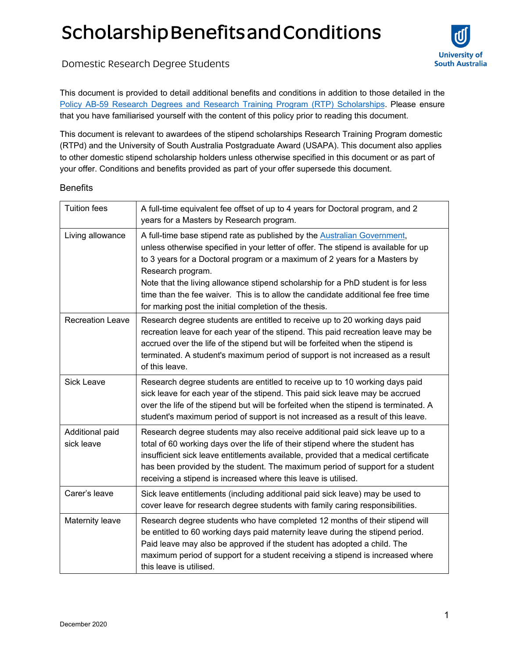## Scholarship Benefits and Conditions



Domestic Research Degree Students

This document is provided to detail additional benefits and conditions in addition to those detailed in the [Policy AB-59 Research Degrees and Research Training Program \(RTP\) Scho](https://i.unisa.edu.au/policies-and-procedures/university-policies/academic/ab-59/)larships. Please ensure that you have familiarised yourself with the content of this policy prior to reading this document.

This document is relevant to awardees of the stipend scholarships Research Training Program domestic (RTPd) and the University of South Australia Postgraduate Award (USAPA). This document also applies to other domestic stipend scholarship holders unless otherwise specified in this document or as part of your offer. Conditions and benefits provided as part of your offer supersede this document.

## **Benefits**

| <b>Tuition fees</b>           | A full-time equivalent fee offset of up to 4 years for Doctoral program, and 2<br>years for a Masters by Research program.                                                                                                                                                                                                                                                                                                                                                                            |
|-------------------------------|-------------------------------------------------------------------------------------------------------------------------------------------------------------------------------------------------------------------------------------------------------------------------------------------------------------------------------------------------------------------------------------------------------------------------------------------------------------------------------------------------------|
| Living allowance              | A full-time base stipend rate as published by the Australian Government,<br>unless otherwise specified in your letter of offer. The stipend is available for up<br>to 3 years for a Doctoral program or a maximum of 2 years for a Masters by<br>Research program.<br>Note that the living allowance stipend scholarship for a PhD student is for less<br>time than the fee waiver. This is to allow the candidate additional fee free time<br>for marking post the initial completion of the thesis. |
| <b>Recreation Leave</b>       | Research degree students are entitled to receive up to 20 working days paid<br>recreation leave for each year of the stipend. This paid recreation leave may be<br>accrued over the life of the stipend but will be forfeited when the stipend is<br>terminated. A student's maximum period of support is not increased as a result<br>of this leave.                                                                                                                                                 |
| <b>Sick Leave</b>             | Research degree students are entitled to receive up to 10 working days paid<br>sick leave for each year of the stipend. This paid sick leave may be accrued<br>over the life of the stipend but will be forfeited when the stipend is terminated. A<br>student's maximum period of support is not increased as a result of this leave.                                                                                                                                                                |
| Additional paid<br>sick leave | Research degree students may also receive additional paid sick leave up to a<br>total of 60 working days over the life of their stipend where the student has<br>insufficient sick leave entitlements available, provided that a medical certificate<br>has been provided by the student. The maximum period of support for a student<br>receiving a stipend is increased where this leave is utilised.                                                                                               |
| Carer's leave                 | Sick leave entitlements (including additional paid sick leave) may be used to<br>cover leave for research degree students with family caring responsibilities.                                                                                                                                                                                                                                                                                                                                        |
| Maternity leave               | Research degree students who have completed 12 months of their stipend will<br>be entitled to 60 working days paid maternity leave during the stipend period.<br>Paid leave may also be approved if the student has adopted a child. The<br>maximum period of support for a student receiving a stipend is increased where<br>this leave is utilised.                                                                                                                                                 |